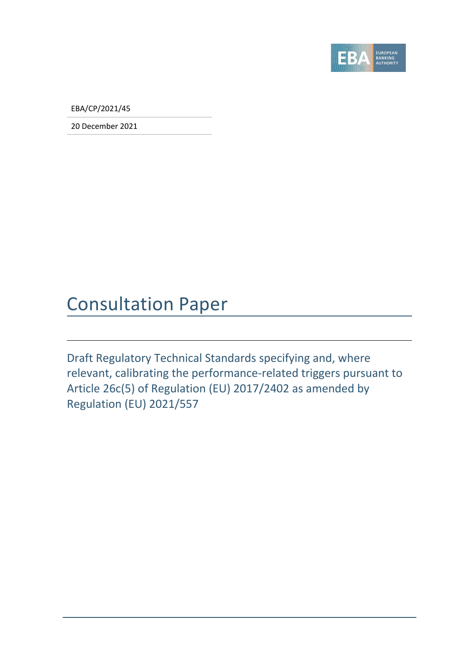

EBA/CP/2021/45

20 December 2021

### Consultation Paper

Draft Regulatory Technical Standards specifying and, where relevant, calibrating the performance-related triggers pursuant to Article 26c(5) of Regulation (EU) 2017/2402 as amended by Regulation (EU) 2021/557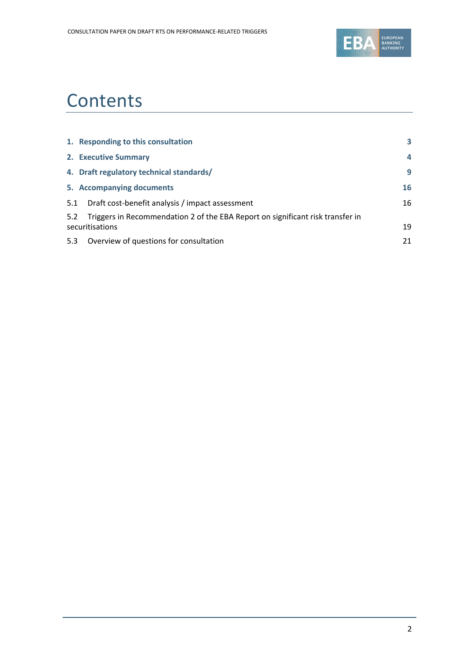

## **Contents**

|     | 1. Responding to this consultation                                                                | 3              |
|-----|---------------------------------------------------------------------------------------------------|----------------|
|     | 2. Executive Summary                                                                              | $\overline{a}$ |
|     | 4. Draft regulatory technical standards/                                                          | 9              |
|     | 5. Accompanying documents                                                                         | 16             |
| 5.1 | Draft cost-benefit analysis / impact assessment                                                   | 16             |
| 5.2 | Triggers in Recommendation 2 of the EBA Report on significant risk transfer in<br>securitisations | 19             |
| 5.3 | Overview of questions for consultation                                                            | 21             |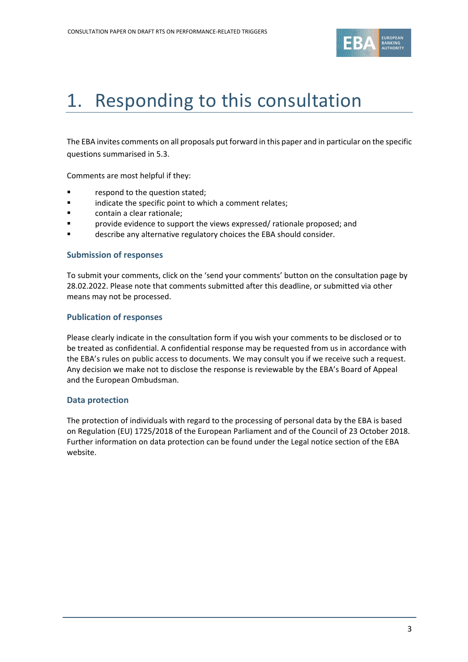

# <span id="page-2-0"></span>1. Responding to this consultation

The EBA invites comments on all proposals put forward in this paper and in particular on the specific questions summarised in 5.3.

Comments are most helpful if they:

- respond to the question stated;
- **Example 3** indicate the specific point to which a comment relates;
- **Example:** contain a clear rationale;
- provide evidence to support the views expressed/ rationale proposed; and
- describe any alternative regulatory choices the EBA should consider.

#### **Submission of responses**

To submit your comments, click on the 'send your comments' button on the consultation page by 28.02.2022. Please note that comments submitted after this deadline, or submitted via other means may not be processed.

#### **Publication of responses**

Please clearly indicate in the consultation form if you wish your comments to be disclosed or to be treated as confidential. A confidential response may be requested from us in accordance with the EBA's rules on public access to documents. We may consult you if we receive such a request. Any decision we make not to disclose the response is reviewable by the EBA's Board of Appeal and the European Ombudsman.

#### **Data protection**

The protection of individuals with regard to the processing of personal data by the EBA is based on Regulation (EU) 1725/2018 of the European Parliament and of the Council of 23 October 2018. Further information on data protection can be found under the [Legal notice section](http://eba.europa.eu/legal-notice) of the EBA website.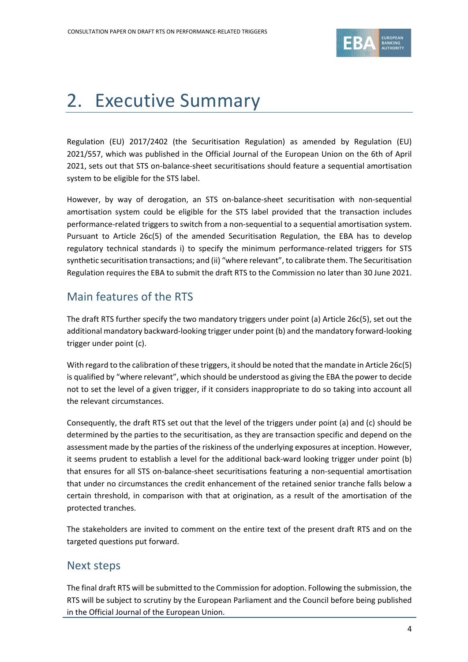

# <span id="page-3-0"></span>2. Executive Summary

Regulation (EU) 2017/2402 (the Securitisation Regulation) as amended by Regulation (EU) 2021/557, which was published in the Official Journal of the European Union on the 6th of April 2021, sets out that STS on-balance-sheet securitisations should feature a sequential amortisation system to be eligible for the STS label.

However, by way of derogation, an STS on-balance-sheet securitisation with non-sequential amortisation system could be eligible for the STS label provided that the transaction includes performance-related triggers to switch from a non-sequential to a sequential amortisation system. Pursuant to Article 26c(5) of the amended Securitisation Regulation, the EBA has to develop regulatory technical standards i) to specify the minimum performance-related triggers for STS synthetic securitisation transactions; and (ii) "where relevant", to calibrate them. The Securitisation Regulation requires the EBA to submit the draft RTS to the Commission no later than 30 June 2021.

### Main features of the RTS

The draft RTS further specify the two mandatory triggers under point (a) Article 26c(5), set out the additional mandatory backward-looking trigger under point (b) and the mandatory forward-looking trigger under point (c).

With regard to the calibration of these triggers, it should be noted that the mandate in Article 26c(5) is qualified by "where relevant", which should be understood as giving the EBA the power to decide not to set the level of a given trigger, if it considers inappropriate to do so taking into account all the relevant circumstances.

Consequently, the draft RTS set out that the level of the triggers under point (a) and (c) should be determined by the parties to the securitisation, as they are transaction specific and depend on the assessment made by the parties of the riskiness of the underlying exposures at inception. However, it seems prudent to establish a level for the additional back-ward looking trigger under point (b) that ensures for all STS on-balance-sheet securitisations featuring a non-sequential amortisation that under no circumstances the credit enhancement of the retained senior tranche falls below a certain threshold, in comparison with that at origination, as a result of the amortisation of the protected tranches.

The stakeholders are invited to comment on the entire text of the present draft RTS and on the targeted questions put forward.

### Next steps

The final draft RTS will be submitted to the Commission for adoption. Following the submission, the RTS will be subject to scrutiny by the European Parliament and the Council before being published in the Official Journal of the European Union.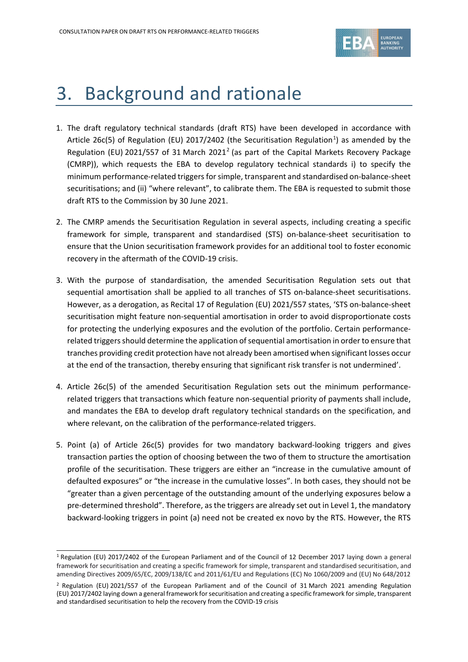

## 3. Background and rationale

- 1. The draft regulatory technical standards (draft RTS) have been developed in accordance with Article 26c(5) of Regulation (EU) 20[1](#page-4-0)7/2402 (the Securitisation Regulation<sup>1</sup>) as amended by the Regulation (EU) [2](#page-4-1)021/557 of 31 March 2021<sup>2</sup> (as part of the Capital Markets Recovery Package (CMRP)), which requests the EBA to develop regulatory technical standards i) to specify the minimum performance-related triggers for simple, transparent and standardised on-balance-sheet securitisations; and (ii) "where relevant", to calibrate them. The EBA is requested to submit those draft RTS to the Commission by 30 June 2021.
- 2. The CMRP amends the Securitisation Regulation in several aspects, including creating a specific framework for simple, transparent and standardised (STS) on-balance-sheet securitisation to ensure that the Union securitisation framework provides for an additional tool to foster economic recovery in the aftermath of the COVID-19 crisis.
- 3. With the purpose of standardisation, the amended Securitisation Regulation sets out that sequential amortisation shall be applied to all tranches of STS on-balance-sheet securitisations. However, as a derogation, as Recital 17 of Regulation (EU) 2021/557 states, 'STS on-balance-sheet securitisation might feature non-sequential amortisation in order to avoid disproportionate costs for protecting the underlying exposures and the evolution of the portfolio. Certain performancerelated triggers should determine the application of sequential amortisation in order to ensure that tranches providing credit protection have not already been amortised when significant losses occur at the end of the transaction, thereby ensuring that significant risk transfer is not undermined'.
- 4. Article 26c(5) of the amended Securitisation Regulation sets out the minimum performancerelated triggers that transactions which feature non-sequential priority of payments shall include, and mandates the EBA to develop draft regulatory technical standards on the specification, and where relevant, on the calibration of the performance-related triggers.
- 5. Point (a) of Article 26c(5) provides for two mandatory backward-looking triggers and gives transaction parties the option of choosing between the two of them to structure the amortisation profile of the securitisation. These triggers are either an "increase in the cumulative amount of defaulted exposures" or "the increase in the cumulative losses". In both cases, they should not be "greater than a given percentage of the outstanding amount of the underlying exposures below a pre-determined threshold". Therefore, as the triggers are already set out in Level 1, the mandatory backward-looking triggers in point (a) need not be created ex novo by the RTS. However, the RTS

<span id="page-4-0"></span><sup>1</sup> Regulation (EU) 2017/2402 of the European Parliament and of the Council of 12 December 2017 laying down a general framework for securitisation and creating a specific framework for simple, transparent and standardised securitisation, and amending Directives 2009/65/EC, 2009/138/EC and 2011/61/EU and Regulations (EC) No 1060/2009 and (EU) No 648/2012

<span id="page-4-1"></span><sup>2</sup> Regulation (EU) 2021/557 of the European Parliament and of the Council of 31 March 2021 amending Regulation (EU) 2017/2402 laying down a general framework for securitisation and creating a specific framework for simple, transparent and standardised securitisation to help the recovery from the COVID-19 crisis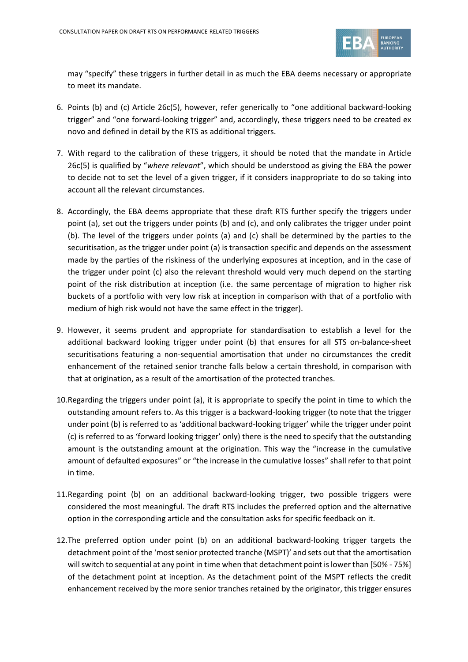

may "specify" these triggers in further detail in as much the EBA deems necessary or appropriate to meet its mandate.

- 6. Points (b) and (c) Article 26c(5), however, refer generically to "one additional backward-looking trigger" and "one forward-looking trigger" and, accordingly, these triggers need to be created ex novo and defined in detail by the RTS as additional triggers.
- 7. With regard to the calibration of these triggers, it should be noted that the mandate in Article 26c(5) is qualified by "*where relevant*", which should be understood as giving the EBA the power to decide not to set the level of a given trigger, if it considers inappropriate to do so taking into account all the relevant circumstances.
- 8. Accordingly, the EBA deems appropriate that these draft RTS further specify the triggers under point (a), set out the triggers under points (b) and (c), and only calibrates the trigger under point (b). The level of the triggers under points (a) and (c) shall be determined by the parties to the securitisation, as the trigger under point (a) is transaction specific and depends on the assessment made by the parties of the riskiness of the underlying exposures at inception, and in the case of the trigger under point (c) also the relevant threshold would very much depend on the starting point of the risk distribution at inception (i.e. the same percentage of migration to higher risk buckets of a portfolio with very low risk at inception in comparison with that of a portfolio with medium of high risk would not have the same effect in the trigger).
- 9. However, it seems prudent and appropriate for standardisation to establish a level for the additional backward looking trigger under point (b) that ensures for all STS on-balance-sheet securitisations featuring a non-sequential amortisation that under no circumstances the credit enhancement of the retained senior tranche falls below a certain threshold, in comparison with that at origination, as a result of the amortisation of the protected tranches.
- 10.Regarding the triggers under point (a), it is appropriate to specify the point in time to which the outstanding amount refers to. As this trigger is a backward-looking trigger (to note that the trigger under point (b) is referred to as 'additional backward-looking trigger' while the trigger under point (c) is referred to as 'forward looking trigger' only) there is the need to specify that the outstanding amount is the outstanding amount at the origination. This way the "increase in the cumulative amount of defaulted exposures" or "the increase in the cumulative losses" shall refer to that point in time.
- 11.Regarding point (b) on an additional backward-looking trigger, two possible triggers were considered the most meaningful. The draft RTS includes the preferred option and the alternative option in the corresponding article and the consultation asks for specific feedback on it.
- 12.The preferred option under point (b) on an additional backward-looking trigger targets the detachment point of the 'most senior protected tranche (MSPT)' and sets out that the amortisation will switch to sequential at any point in time when that detachment point is lower than [50% - 75%] of the detachment point at inception. As the detachment point of the MSPT reflects the credit enhancement received by the more senior tranches retained by the originator, this trigger ensures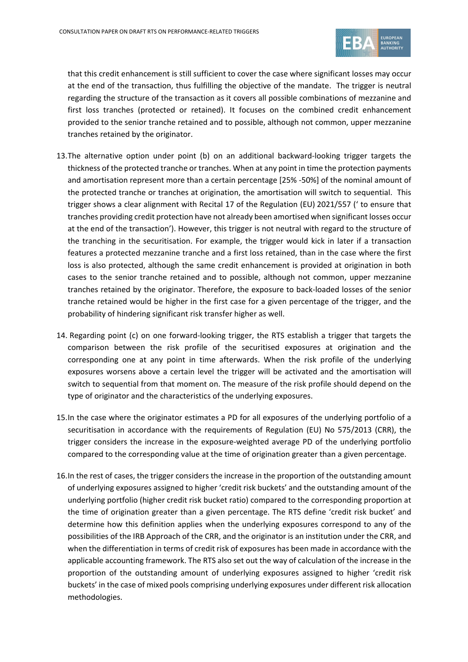

that this credit enhancement is still sufficient to cover the case where significant losses may occur at the end of the transaction, thus fulfilling the objective of the mandate. The trigger is neutral regarding the structure of the transaction as it covers all possible combinations of mezzanine and first loss tranches (protected or retained). It focuses on the combined credit enhancement provided to the senior tranche retained and to possible, although not common, upper mezzanine tranches retained by the originator.

- 13.The alternative option under point (b) on an additional backward-looking trigger targets the thickness of the protected tranche or tranches. When at any point in time the protection payments and amortisation represent more than a certain percentage [25% -50%] of the nominal amount of the protected tranche or tranches at origination, the amortisation will switch to sequential. This trigger shows a clear alignment with Recital 17 of the Regulation (EU) 2021/557 (' to ensure that tranches providing credit protection have not already been amortised when significant losses occur at the end of the transaction'). However, this trigger is not neutral with regard to the structure of the tranching in the securitisation. For example, the trigger would kick in later if a transaction features a protected mezzanine tranche and a first loss retained, than in the case where the first loss is also protected, although the same credit enhancement is provided at origination in both cases to the senior tranche retained and to possible, although not common, upper mezzanine tranches retained by the originator. Therefore, the exposure to back-loaded losses of the senior tranche retained would be higher in the first case for a given percentage of the trigger, and the probability of hindering significant risk transfer higher as well.
- 14. Regarding point (c) on one forward-looking trigger, the RTS establish a trigger that targets the comparison between the risk profile of the securitised exposures at origination and the corresponding one at any point in time afterwards. When the risk profile of the underlying exposures worsens above a certain level the trigger will be activated and the amortisation will switch to sequential from that moment on. The measure of the risk profile should depend on the type of originator and the characteristics of the underlying exposures.
- 15.In the case where the originator estimates a PD for all exposures of the underlying portfolio of a securitisation in accordance with the requirements of Regulation (EU) No 575/2013 (CRR), the trigger considers the increase in the exposure-weighted average PD of the underlying portfolio compared to the corresponding value at the time of origination greater than a given percentage.
- 16.In the rest of cases, the trigger considers the increase in the proportion of the outstanding amount of underlying exposures assigned to higher 'credit risk buckets' and the outstanding amount of the underlying portfolio (higher credit risk bucket ratio) compared to the corresponding proportion at the time of origination greater than a given percentage. The RTS define 'credit risk bucket' and determine how this definition applies when the underlying exposures correspond to any of the possibilities of the IRB Approach of the CRR, and the originator is an institution under the CRR, and when the differentiation in terms of credit risk of exposures has been made in accordance with the applicable accounting framework. The RTS also set out the way of calculation of the increase in the proportion of the outstanding amount of underlying exposures assigned to higher 'credit risk buckets' in the case of mixed pools comprising underlying exposures under different risk allocation methodologies.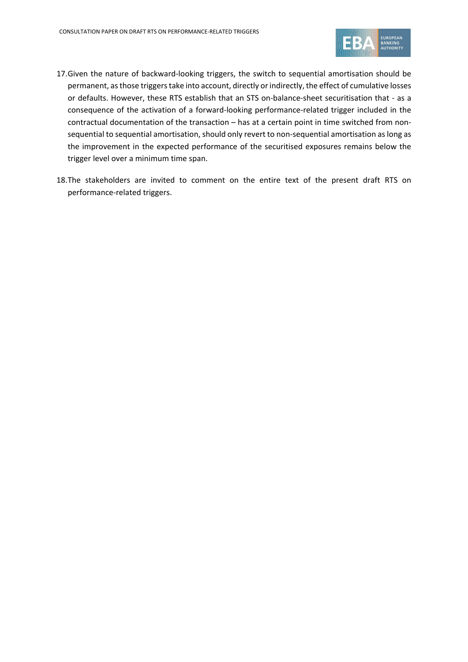

- 17.Given the nature of backward-looking triggers, the switch to sequential amortisation should be permanent, as those triggers take into account, directly or indirectly, the effect of cumulative losses or defaults. However, these RTS establish that an STS on-balance-sheet securitisation that - as a consequence of the activation of a forward-looking performance-related trigger included in the contractual documentation of the transaction – has at a certain point in time switched from nonsequential to sequential amortisation, should only revert to non-sequential amortisation as long as the improvement in the expected performance of the securitised exposures remains below the trigger level over a minimum time span.
- 18.The stakeholders are invited to comment on the entire text of the present draft RTS on performance-related triggers.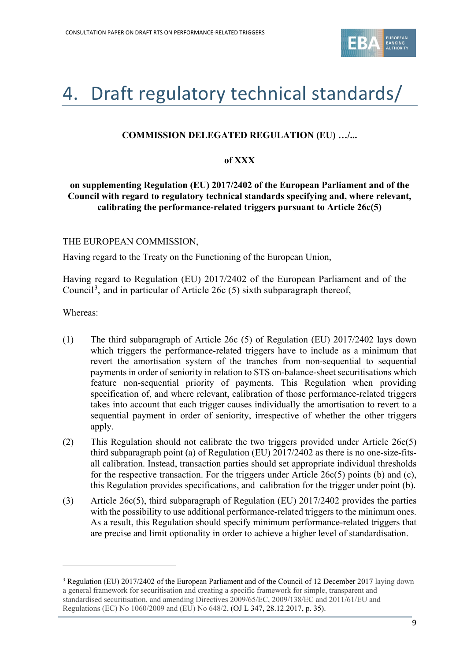

# <span id="page-8-0"></span>4. Draft regulatory technical standards/

#### **COMMISSION DELEGATED REGULATION (EU) …/...**

#### **of XXX**

#### **on supplementing Regulation (EU) 2017/2402 of the European Parliament and of the Council with regard to regulatory technical standards specifying and, where relevant, calibrating the performance-related triggers pursuant to Article 26c(5)**

#### THE EUROPEAN COMMISSION,

Having regard to the Treaty on the Functioning of the European Union,

Having regard to Regulation (EU) 2017/2402 of the European Parliament and of the Council<sup>[3](#page-8-1)</sup>, and in particular of Article 26c (5) sixth subparagraph thereof,

Whereas:

- (1) The third subparagraph of Article 26c (5) of Regulation (EU) 2017/2402 lays down which triggers the performance-related triggers have to include as a minimum that revert the amortisation system of the tranches from non-sequential to sequential payments in order of seniority in relation to STS on-balance-sheet securitisations which feature non-sequential priority of payments. This Regulation when providing specification of, and where relevant, calibration of those performance-related triggers takes into account that each trigger causes individually the amortisation to revert to a sequential payment in order of seniority, irrespective of whether the other triggers apply.
- (2) This Regulation should not calibrate the two triggers provided under Article 26c(5) third subparagraph point (a) of Regulation (EU) 2017/2402 as there is no one-size-fitsall calibration. Instead, transaction parties should set appropriate individual thresholds for the respective transaction. For the triggers under Article 26c(5) points (b) and (c), this Regulation provides specifications, and calibration for the trigger under point (b).
- (3) Article 26c(5), third subparagraph of Regulation (EU) 2017/2402 provides the parties with the possibility to use additional performance-related triggers to the minimum ones. As a result, this Regulation should specify minimum performance-related triggers that are precise and limit optionality in order to achieve a higher level of standardisation.

<span id="page-8-1"></span><sup>3</sup> Regulation (EU) 2017/2402 of the European Parliament and of the Council of 12 December 2017 laying down a general framework for securitisation and creating a specific framework for simple, transparent and standardised securitisation, and amending Directives 2009/65/EC, 2009/138/EC and 2011/61/EU and Regulations (EC) No 1060/2009 and (EU) No 648/2, (OJ L 347, 28.12.2017, p. 35).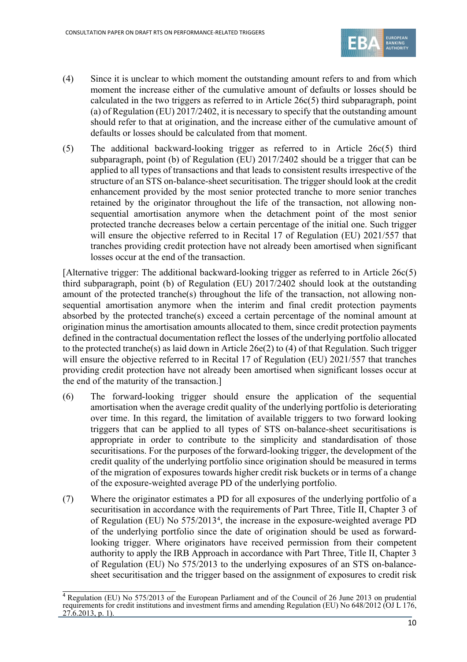

- (4) Since it is unclear to which moment the outstanding amount refers to and from which moment the increase either of the cumulative amount of defaults or losses should be calculated in the two triggers as referred to in Article 26c(5) third subparagraph, point (a) of Regulation (EU) 2017/2402, it is necessary to specify that the outstanding amount should refer to that at origination, and the increase either of the cumulative amount of defaults or losses should be calculated from that moment.
- (5) The additional backward-looking trigger as referred to in Article 26c(5) third subparagraph, point (b) of Regulation (EU) 2017/2402 should be a trigger that can be applied to all types of transactions and that leads to consistent results irrespective of the structure of an STS on-balance-sheet securitisation. The trigger should look at the credit enhancement provided by the most senior protected tranche to more senior tranches retained by the originator throughout the life of the transaction, not allowing nonsequential amortisation anymore when the detachment point of the most senior protected tranche decreases below a certain percentage of the initial one. Such trigger will ensure the objective referred to in Recital 17 of Regulation (EU) 2021/557 that tranches providing credit protection have not already been amortised when significant losses occur at the end of the transaction.

[Alternative trigger: The additional backward-looking trigger as referred to in Article 26c(5) third subparagraph, point (b) of Regulation (EU) 2017/2402 should look at the outstanding amount of the protected tranche(s) throughout the life of the transaction, not allowing nonsequential amortisation anymore when the interim and final credit protection payments absorbed by the protected tranche(s) exceed a certain percentage of the nominal amount at origination minus the amortisation amounts allocated to them, since credit protection payments defined in the contractual documentation reflect the losses of the underlying portfolio allocated to the protected tranche(s) as laid down in Article 26e(2) to (4) of that Regulation. Such trigger will ensure the objective referred to in Recital 17 of Regulation (EU) 2021/557 that tranches providing credit protection have not already been amortised when significant losses occur at the end of the maturity of the transaction.]

- (6) The forward-looking trigger should ensure the application of the sequential amortisation when the average credit quality of the underlying portfolio is deteriorating over time. In this regard, the limitation of available triggers to two forward looking triggers that can be applied to all types of STS on-balance-sheet securitisations is appropriate in order to contribute to the simplicity and standardisation of those securitisations. For the purposes of the forward-looking trigger, the development of the credit quality of the underlying portfolio since origination should be measured in terms of the migration of exposures towards higher credit risk buckets or in terms of a change of the exposure-weighted average PD of the underlying portfolio.
- (7) Where the originator estimates a PD for all exposures of the underlying portfolio of a securitisation in accordance with the requirements of Part Three, Title II, Chapter 3 of of Regulation (EU) No 575/2013<sup>[4](#page-9-0)</sup>, the increase in the exposure-weighted average PD of the underlying portfolio since the date of origination should be used as forwardlooking trigger. Where originators have received permission from their competent authority to apply the IRB Approach in accordance with Part Three, Title II, Chapter 3 of Regulation (EU) No 575/2013 to the underlying exposures of an STS on-balancesheet securitisation and the trigger based on the assignment of exposures to credit risk

<span id="page-9-0"></span><sup>4</sup> Regulation (EU) No 575/2013 of the European Parliament and of the Council of 26 June 2013 on prudential requirements for credit institutions and investment firms and amending Regulation (EU) No 648/2012 (OJ L 176,  $27.6.2013$ , p. 1).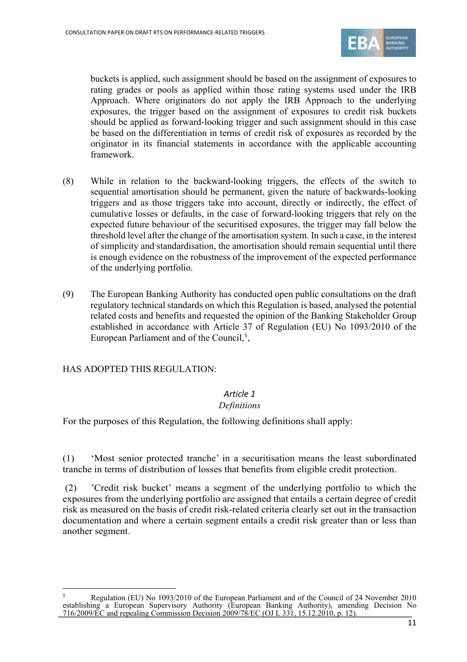

buckets is applied, such assignment should be based on the assignment of exposures to rating grades or pools as applied within those rating systems used under the IRB Approach. Where originators do not apply the IRB Approach to the underlying exposures, the trigger based on the assignment of exposures to credit risk buckets should be applied as forward-looking trigger and such assignment should in this case be based on the differentiation in terms of credit risk of exposures as recorded by the originator in its financial statements in accordance with the applicable accounting framework.

- (8) While in relation to the backward-looking triggers, the effects of the switch to sequential amortisation should be permanent, given the nature of backwards-looking triggers and as those triggers take into account, directly or indirectly, the effect of cumulative losses or defaults, in the case of forward-looking triggers that rely on the expected future behaviour of the securitised exposures, the trigger may fall below the threshold level after the change of the amortisation system. In such a case, in the interest of simplicity and standardisation, the amortisation should remain sequential until there is enough evidence on the robustness of the improvement of the expected performance of the underlying portfolio.
- (9) The European Banking Authority has conducted open public consultations on the draft regulatory technical standards on which this Regulation is based, analysed the potential related costs and benefits and requested the opinion of the Banking Stakeholder Group established in accordance with Article 37 of Regulation (EU) No 1093/2010 of the European Parliament and of the Council,<sup>[5](#page-10-0)</sup>,

HAS ADOPTED THIS REGULATION:

#### *Article 1*

#### *Definitions*

For the purposes of this Regulation, the following definitions shall apply:

(1) 'Most senior protected tranche' in a securitisation means the least subordinated tranche in terms of distribution of losses that benefits from eligible credit protection.

(2) 'Credit risk bucket' means a segment of the underlying portfolio to which the exposures from the underlying portfolio are assigned that entails a certain degree of credit risk as measured on the basis of credit risk-related criteria clearly set out in the transaction documentation and where a certain segment entails a credit risk greater than or less than another segment.

<span id="page-10-0"></span><sup>5</sup> Regulation (EU) No 1093/2010 of the European Parliament and of the Council of 24 November 2010 establishing a European Supervisory Authority (European Banking Authority), amending Decision No 716/2009/EC and repealing Commission Decision 2009/78/EC (OJ L 331, 15.12.2010, p. 12).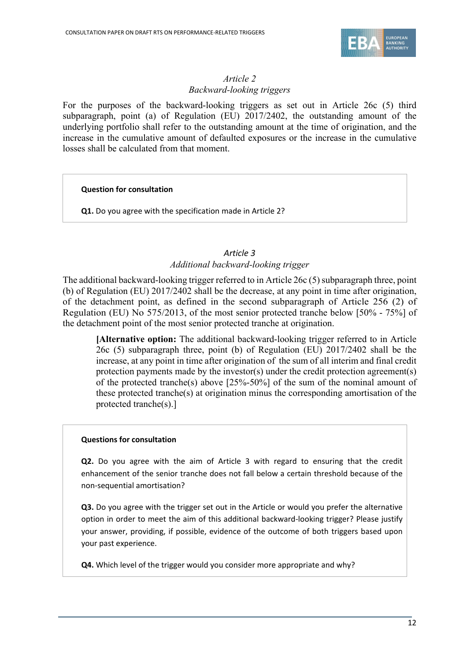

#### *Article 2 Backward-looking triggers*

For the purposes of the backward-looking triggers as set out in Article 26c (5) third subparagraph, point (a) of Regulation (EU) 2017/2402, the outstanding amount of the underlying portfolio shall refer to the outstanding amount at the time of origination, and the increase in the cumulative amount of defaulted exposures or the increase in the cumulative losses shall be calculated from that moment.

#### **Question for consultation**

**Q1.** Do you agree with the specification made in Article 2?

#### *Article 3 Additional backward-looking trigger*

The additional backward-looking trigger referred to in Article 26 $\epsilon$  (5) subparagraph three, point (b) of Regulation (EU) 2017/2402 shall be the decrease, at any point in time after origination, of the detachment point, as defined in the second subparagraph of Article 256 (2) of Regulation (EU) No 575/2013, of the most senior protected tranche below [50% - 75%] of the detachment point of the most senior protected tranche at origination.

**[Alternative option:** The additional backward-looking trigger referred to in Article 26c (5) subparagraph three, point (b) of Regulation (EU) 2017/2402 shall be the increase, at any point in time after origination of the sum of all interim and final credit protection payments made by the investor(s) under the credit protection agreement(s) of the protected tranche(s) above [25%-50%] of the sum of the nominal amount of these protected tranche(s) at origination minus the corresponding amortisation of the protected tranche(s).]

#### **Questions for consultation**

**Q2.** Do you agree with the aim of Article 3 with regard to ensuring that the credit enhancement of the senior tranche does not fall below a certain threshold because of the non-sequential amortisation?

**Q3.** Do you agree with the trigger set out in the Article or would you prefer the alternative option in order to meet the aim of this additional backward-looking trigger? Please justify your answer, providing, if possible, evidence of the outcome of both triggers based upon your past experience.

**Q4.** Which level of the trigger would you consider more appropriate and why?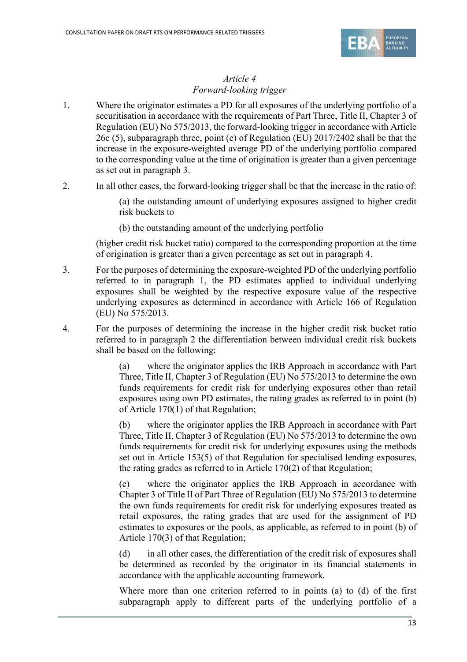

#### *Article 4 Forward-looking trigger*

- 1. Where the originator estimates a PD for all exposures of the underlying portfolio of a securitisation in accordance with the requirements of Part Three, Title II, Chapter 3 of Regulation (EU) No 575/2013, the forward-looking trigger in accordance with Article 26c (5), subparagraph three, point (c) of Regulation (EU) 2017/2402 shall be that the increase in the exposure-weighted average PD of the underlying portfolio compared to the corresponding value at the time of origination is greater than a given percentage as set out in paragraph 3.
- 2. In all other cases, the forward-looking trigger shall be that the increase in the ratio of:

(a) the outstanding amount of underlying exposures assigned to higher credit risk buckets to

(b) the outstanding amount of the underlying portfolio

(higher credit risk bucket ratio) compared to the corresponding proportion at the time of origination is greater than a given percentage as set out in paragraph 4.

- 3. For the purposes of determining the exposure-weighted PD of the underlying portfolio referred to in paragraph 1, the PD estimates applied to individual underlying exposures shall be weighted by the respective exposure value of the respective underlying exposures as determined in accordance with Article 166 of Regulation (EU) No 575/2013.
- 4. For the purposes of determining the increase in the higher credit risk bucket ratio referred to in paragraph 2 the differentiation between individual credit risk buckets shall be based on the following:

(a) where the originator applies the IRB Approach in accordance with Part Three, Title II, Chapter 3 of Regulation (EU) No 575/2013 to determine the own funds requirements for credit risk for underlying exposures other than retail exposures using own PD estimates, the rating grades as referred to in point (b) of Article 170(1) of that Regulation;

(b) where the originator applies the IRB Approach in accordance with Part Three, Title II, Chapter 3 of Regulation (EU) No 575/2013 to determine the own funds requirements for credit risk for underlying exposures using the methods set out in Article 153(5) of that Regulation for specialised lending exposures, the rating grades as referred to in Article 170(2) of that Regulation;

(c) where the originator applies the IRB Approach in accordance with Chapter 3 of Title II of Part Three of Regulation (EU) No 575/2013 to determine the own funds requirements for credit risk for underlying exposures treated as retail exposures, the rating grades that are used for the assignment of PD estimates to exposures or the pools, as applicable, as referred to in point (b) of Article 170(3) of that Regulation;

(d) in all other cases, the differentiation of the credit risk of exposures shall be determined as recorded by the originator in its financial statements in accordance with the applicable accounting framework.

Where more than one criterion referred to in points (a) to (d) of the first subparagraph apply to different parts of the underlying portfolio of a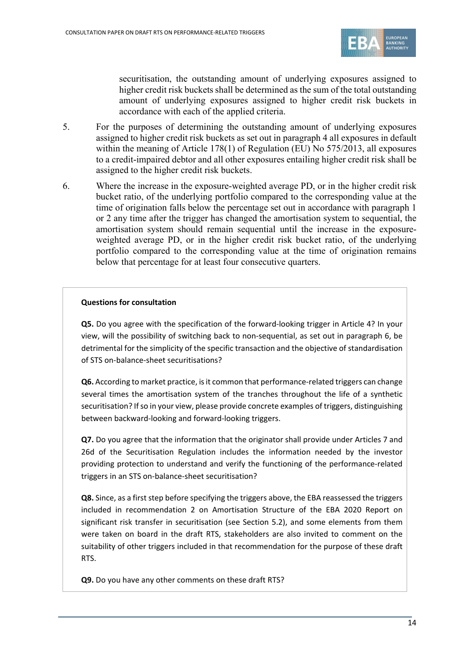

securitisation, the outstanding amount of underlying exposures assigned to higher credit risk buckets shall be determined as the sum of the total outstanding amount of underlying exposures assigned to higher credit risk buckets in accordance with each of the applied criteria.

- 5. For the purposes of determining the outstanding amount of underlying exposures assigned to higher credit risk buckets as set out in paragraph 4 all exposures in default within the meaning of Article 178(1) of Regulation (EU) No 575/2013, all exposures to a credit-impaired debtor and all other exposures entailing higher credit risk shall be assigned to the higher credit risk buckets.
- 6. Where the increase in the exposure-weighted average PD, or in the higher credit risk bucket ratio, of the underlying portfolio compared to the corresponding value at the time of origination falls below the percentage set out in accordance with paragraph 1 or 2 any time after the trigger has changed the amortisation system to sequential, the amortisation system should remain sequential until the increase in the exposureweighted average PD, or in the higher credit risk bucket ratio, of the underlying portfolio compared to the corresponding value at the time of origination remains below that percentage for at least four consecutive quarters.

#### **Questions for consultation**

**Q5.** Do you agree with the specification of the forward-looking trigger in Article 4? In your view, will the possibility of switching back to non-sequential, as set out in paragraph 6, be detrimental for the simplicity of the specific transaction and the objective of standardisation of STS on-balance-sheet securitisations?

**Q6.** According to market practice, is it common that performance-related triggers can change several times the amortisation system of the tranches throughout the life of a synthetic securitisation? If so in your view, please provide concrete examples of triggers, distinguishing between backward-looking and forward-looking triggers.

**Q7.** Do you agree that the information that the originator shall provide under Articles 7 and 26d of the Securitisation Regulation includes the information needed by the investor providing protection to understand and verify the functioning of the performance-related triggers in an STS on-balance-sheet securitisation?

**Q8.** Since, as a first step before specifying the triggers above, the EBA reassessed the triggers included in recommendation 2 on Amortisation Structure of the EBA 2020 Report on significant risk transfer in securitisation (see Section 5.2), and some elements from them were taken on board in the draft RTS, stakeholders are also invited to comment on the suitability of other triggers included in that recommendation for the purpose of these draft RTS.

**Q9.** Do you have any other comments on these draft RTS?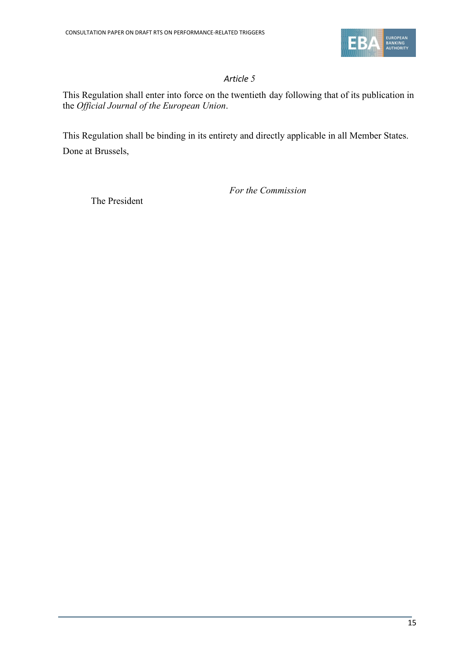

#### *Article 5*

This Regulation shall enter into force on the twentieth day following that of its publication in the *Official Journal of the European Union*.

This Regulation shall be binding in its entirety and directly applicable in all Member States. Done at Brussels,

*For the Commission*

The President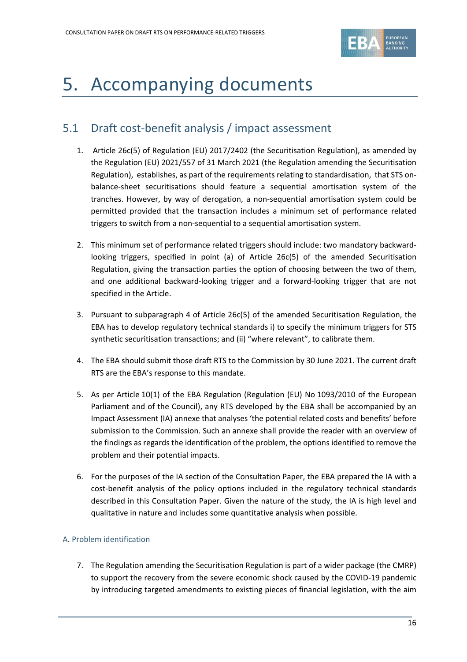

# <span id="page-15-0"></span>5. Accompanying documents

### <span id="page-15-1"></span>5.1 Draft cost-benefit analysis / impact assessment

- 1. Article 26c(5) of Regulation (EU) 2017/2402 (the Securitisation Regulation), as amended by the Regulation (EU) 2021/557 of 31 March 2021 (the Regulation amending the Securitisation Regulation), establishes, as part of the requirements relating to standardisation, that STS onbalance-sheet securitisations should feature a sequential amortisation system of the tranches. However, by way of derogation, a non-sequential amortisation system could be permitted provided that the transaction includes a minimum set of performance related triggers to switch from a non-sequential to a sequential amortisation system.
- 2. This minimum set of performance related triggers should include: two mandatory backwardlooking triggers, specified in point (a) of Article 26c(5) of the amended Securitisation Regulation, giving the transaction parties the option of choosing between the two of them, and one additional backward-looking trigger and a forward-looking trigger that are not specified in the Article.
- 3. Pursuant to subparagraph 4 of Article 26c(5) of the amended Securitisation Regulation, the EBA has to develop regulatory technical standards i) to specify the minimum triggers for STS synthetic securitisation transactions; and (ii) "where relevant", to calibrate them.
- 4. The EBA should submit those draft RTS to the Commission by 30 June 2021. The current draft RTS are the EBA's response to this mandate.
- 5. As per Article 10(1) of the EBA Regulation (Regulation (EU) No 1093/2010 of the European Parliament and of the Council), any RTS developed by the EBA shall be accompanied by an Impact Assessment (IA) annexe that analyses 'the potential related costs and benefits' before submission to the Commission. Such an annexe shall provide the reader with an overview of the findings as regards the identification of the problem, the options identified to remove the problem and their potential impacts.
- 6. For the purposes of the IA section of the Consultation Paper, the EBA prepared the IA with a cost-benefit analysis of the policy options included in the regulatory technical standards described in this Consultation Paper. Given the nature of the study, the IA is high level and qualitative in nature and includes some quantitative analysis when possible.

#### A. Problem identification

7. The Regulation amending the Securitisation Regulation is part of a wider package (the CMRP) to support the recovery from the severe economic shock caused by the COVID-19 pandemic by introducing targeted amendments to existing pieces of financial legislation, with the aim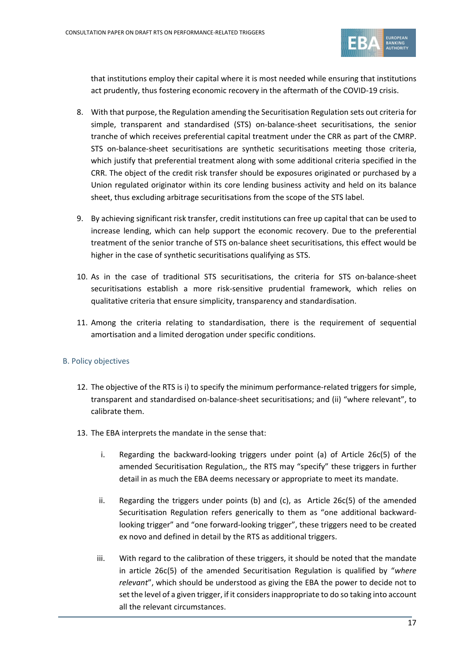

that institutions employ their capital where it is most needed while ensuring that institutions act prudently, thus fostering economic recovery in the aftermath of the COVID-19 crisis.

- 8. With that purpose, the Regulation amending the Securitisation Regulation sets out criteria for simple, transparent and standardised (STS) on-balance-sheet securitisations, the senior tranche of which receives preferential capital treatment under the CRR as part of the CMRP. STS on-balance-sheet securitisations are synthetic securitisations meeting those criteria, which justify that preferential treatment along with some additional criteria specified in the CRR. The object of the credit risk transfer should be exposures originated or purchased by a Union regulated originator within its core lending business activity and held on its balance sheet, thus excluding arbitrage securitisations from the scope of the STS label.
- 9. By achieving significant risk transfer, credit institutions can free up capital that can be used to increase lending, which can help support the economic recovery. Due to the preferential treatment of the senior tranche of STS on-balance sheet securitisations, this effect would be higher in the case of synthetic securitisations qualifying as STS.
- 10. As in the case of traditional STS securitisations, the criteria for STS on-balance-sheet securitisations establish a more risk-sensitive prudential framework, which relies on qualitative criteria that ensure simplicity, transparency and standardisation.
- 11. Among the criteria relating to standardisation, there is the requirement of sequential amortisation and a limited derogation under specific conditions.

#### B. Policy objectives

- 12. The objective of the RTS is i) to specify the minimum performance-related triggers for simple, transparent and standardised on-balance-sheet securitisations; and (ii) "where relevant", to calibrate them.
- 13. The EBA interprets the mandate in the sense that:
	- i. Regarding the backward-looking triggers under point (a) of Article 26c(5) of the amended Securitisation Regulation,, the RTS may "specify" these triggers in further detail in as much the EBA deems necessary or appropriate to meet its mandate.
	- ii. Regarding the triggers under points (b) and (c), as Article 26 $c(5)$  of the amended Securitisation Regulation refers generically to them as "one additional backwardlooking trigger" and "one forward-looking trigger", these triggers need to be created ex novo and defined in detail by the RTS as additional triggers.
	- iii. With regard to the calibration of these triggers, it should be noted that the mandate in article 26c(5) of the amended Securitisation Regulation is qualified by "*where relevant*", which should be understood as giving the EBA the power to decide not to set the level of a given trigger, if it considers inappropriate to do so taking into account all the relevant circumstances.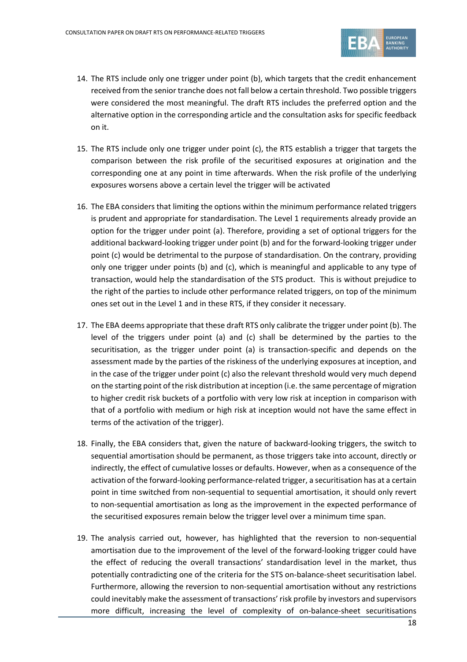

- 14. The RTS include only one trigger under point (b), which targets that the credit enhancement received from the senior tranche does not fall below a certain threshold. Two possible triggers were considered the most meaningful. The draft RTS includes the preferred option and the alternative option in the corresponding article and the consultation asks for specific feedback on it.
- 15. The RTS include only one trigger under point (c), the RTS establish a trigger that targets the comparison between the risk profile of the securitised exposures at origination and the corresponding one at any point in time afterwards. When the risk profile of the underlying exposures worsens above a certain level the trigger will be activated
- 16. The EBA considers that limiting the options within the minimum performance related triggers is prudent and appropriate for standardisation. The Level 1 requirements already provide an option for the trigger under point (a). Therefore, providing a set of optional triggers for the additional backward-looking trigger under point (b) and for the forward-looking trigger under point (c) would be detrimental to the purpose of standardisation. On the contrary, providing only one trigger under points (b) and (c), which is meaningful and applicable to any type of transaction, would help the standardisation of the STS product. This is without prejudice to the right of the parties to include other performance related triggers, on top of the minimum ones set out in the Level 1 and in these RTS, if they consider it necessary.
- 17. The EBA deems appropriate that these draft RTS only calibrate the trigger under point (b). The level of the triggers under point (a) and (c) shall be determined by the parties to the securitisation, as the trigger under point (a) is transaction-specific and depends on the assessment made by the parties of the riskiness of the underlying exposures at inception, and in the case of the trigger under point (c) also the relevant threshold would very much depend on the starting point of the risk distribution at inception (i.e. the same percentage of migration to higher credit risk buckets of a portfolio with very low risk at inception in comparison with that of a portfolio with medium or high risk at inception would not have the same effect in terms of the activation of the trigger).
- 18. Finally, the EBA considers that, given the nature of backward-looking triggers, the switch to sequential amortisation should be permanent, as those triggers take into account, directly or indirectly, the effect of cumulative losses or defaults. However, when as a consequence of the activation of the forward-looking performance-related trigger, a securitisation has at a certain point in time switched from non-sequential to sequential amortisation, it should only revert to non-sequential amortisation as long as the improvement in the expected performance of the securitised exposures remain below the trigger level over a minimum time span.
- 19. The analysis carried out, however, has highlighted that the reversion to non-sequential amortisation due to the improvement of the level of the forward-looking trigger could have the effect of reducing the overall transactions' standardisation level in the market, thus potentially contradicting one of the criteria for the STS on-balance-sheet securitisation label. Furthermore, allowing the reversion to non-sequential amortisation without any restrictions could inevitably make the assessment of transactions' risk profile by investors and supervisors more difficult, increasing the level of complexity of on-balance-sheet securitisations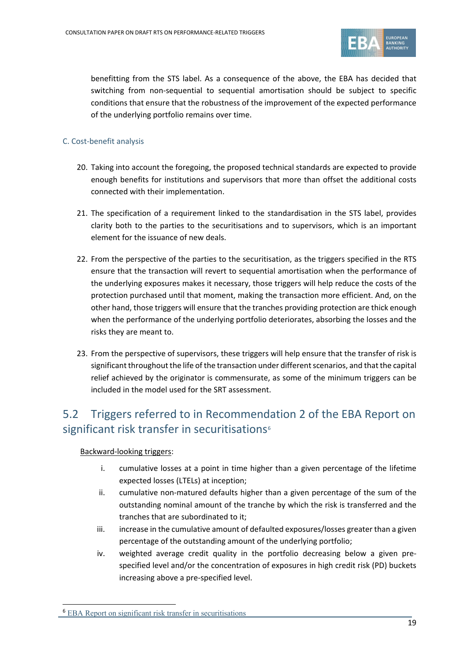

benefitting from the STS label. As a consequence of the above, the EBA has decided that switching from non-sequential to sequential amortisation should be subject to specific conditions that ensure that the robustness of the improvement of the expected performance of the underlying portfolio remains over time.

#### C. Cost-benefit analysis

- 20. Taking into account the foregoing, the proposed technical standards are expected to provide enough benefits for institutions and supervisors that more than offset the additional costs connected with their implementation.
- 21. The specification of a requirement linked to the standardisation in the STS label, provides clarity both to the parties to the securitisations and to supervisors, which is an important element for the issuance of new deals.
- 22. From the perspective of the parties to the securitisation, as the triggers specified in the RTS ensure that the transaction will revert to sequential amortisation when the performance of the underlying exposures makes it necessary, those triggers will help reduce the costs of the protection purchased until that moment, making the transaction more efficient. And, on the other hand, those triggers will ensure that the tranches providing protection are thick enough when the performance of the underlying portfolio deteriorates, absorbing the losses and the risks they are meant to.
- 23. From the perspective of supervisors, these triggers will help ensure that the transfer of risk is significant throughout the life of the transaction under different scenarios, and that the capital relief achieved by the originator is commensurate, as some of the minimum triggers can be included in the model used for the SRT assessment.

### <span id="page-18-0"></span>5.2 Triggers referred to in Recommendation 2 of the EBA Report on significant risk transfer in securitisations<sup>[6](#page-18-1)</sup>

#### Backward-looking triggers:

- i. cumulative losses at a point in time higher than a given percentage of the lifetime expected losses (LTELs) at inception;
- ii. cumulative non-matured defaults higher than a given percentage of the sum of the outstanding nominal amount of the tranche by which the risk is transferred and the tranches that are subordinated to it;
- iii. increase in the cumulative amount of defaulted exposures/losses greater than a given percentage of the outstanding amount of the underlying portfolio;
- iv. weighted average credit quality in the portfolio decreasing below a given prespecified level and/or the concentration of exposures in high credit risk (PD) buckets increasing above a pre-specified level.

<span id="page-18-1"></span><sup>6</sup> [EBA Report on significant risk transfer in securitisations](https://www.eba.europa.eu/sites/default/documents/files/document_library/News%20and%20Press/Press%20Room/Press%20Releases/2020/EBA%20calls%20on%20the%20EU%20Commission%20to%20harmonise%20practices%20and%20processes%20for%20significant%20risk%20transfer%20assessments%20in%20securitisation/962027/EBA%20Report%20on%20SRT.pdf)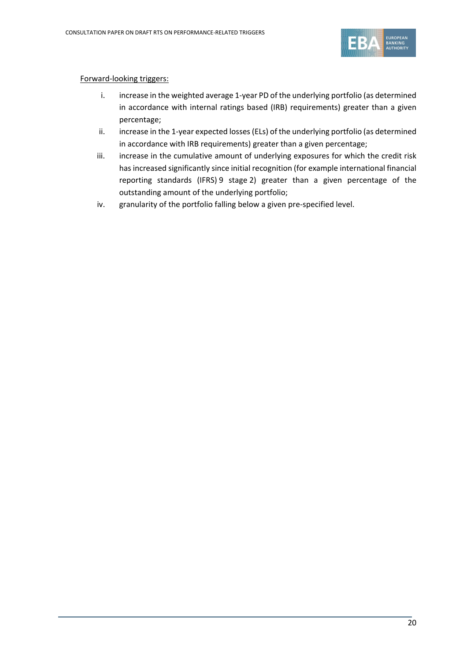

#### Forward-looking triggers:

- i. increase in the weighted average 1-year PD of the underlying portfolio (as determined in accordance with internal ratings based (IRB) requirements) greater than a given percentage;
- ii. increase in the 1-year expected losses (ELs) of the underlying portfolio (as determined in accordance with IRB requirements) greater than a given percentage;
- iii. increase in the cumulative amount of underlying exposures for which the credit risk has increased significantly since initial recognition (for example international financial reporting standards (IFRS) 9 stage 2) greater than a given percentage of the outstanding amount of the underlying portfolio;
- <span id="page-19-0"></span>iv. granularity of the portfolio falling below a given pre-specified level.